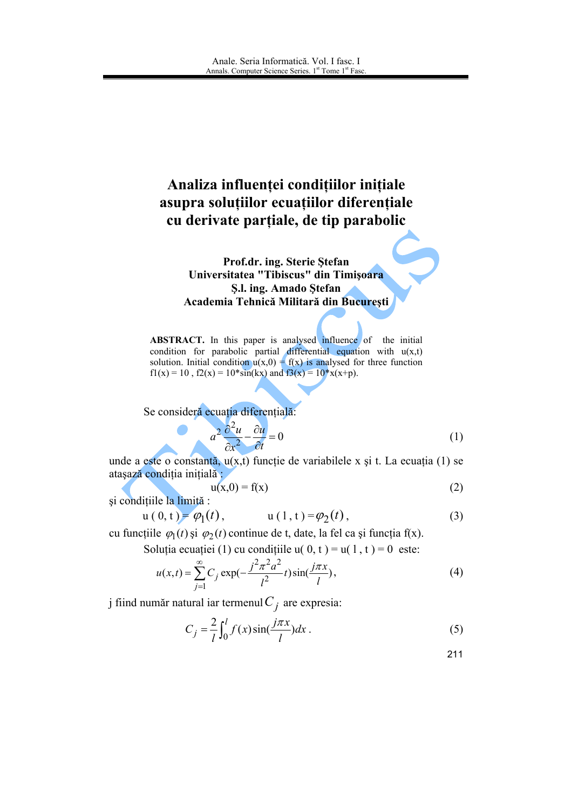# Analiza influenței condițiilor inițiale asupra soluțiilor ecuațiilor diferențiale cu derivate parțiale, de tip parabolic

Prof.dr. ing. Sterie Ştefan Universitatea "Tibiscus" din Timișoara S.l. ing. Amado Stefan Academia Tehnică Militară din București

**ABSTRACT.** In this paper is analysed influence of the initial condition for parabolic partial differential equation with  $u(x,t)$ solution. Initial condition  $u(x,0) = f(x)$  is analysed for three function  $f1(x) = 10$ ,  $f2(x) = 10*sin(kx)$  and  $f3(x) = 10* x(x+p)$ .

Se consideră ecuația diferențială:

$$
a^2 \frac{\partial^2 u}{\partial x^2} - \frac{\partial u}{\partial t} = 0
$$
 (1)

unde a este o constantă,  $u(x,t)$  funcție de variabilele x și t. La ecuația (1) se atașază condiția inițială :

$$
u(x,0) = f(x) \tag{2}
$$

și condițiile la limită :

$$
u(0, t) = \varphi_1(t),
$$
  $u(1, t) = \varphi_2(t),$  (3)

cu funcțiile  $\varphi_1(t)$  și  $\varphi_2(t)$  continue de t, date, la fel ca și funcția f(x).

Soluția ecuației (1) cu condițiile  $u(0, t) = u(1, t) = 0$  este:

$$
u(x,t) = \sum_{j=1}^{\infty} C_j \exp(-\frac{j^2 \pi^2 a^2}{l^2} t) \sin(\frac{j \pi x}{l}),
$$
 (4)

j fiind număr natural iar termenul  $C_i$  are expresia:

$$
C_j = \frac{2}{l} \int_0^l f(x) \sin(\frac{j\pi x}{l}) dx.
$$
 (5)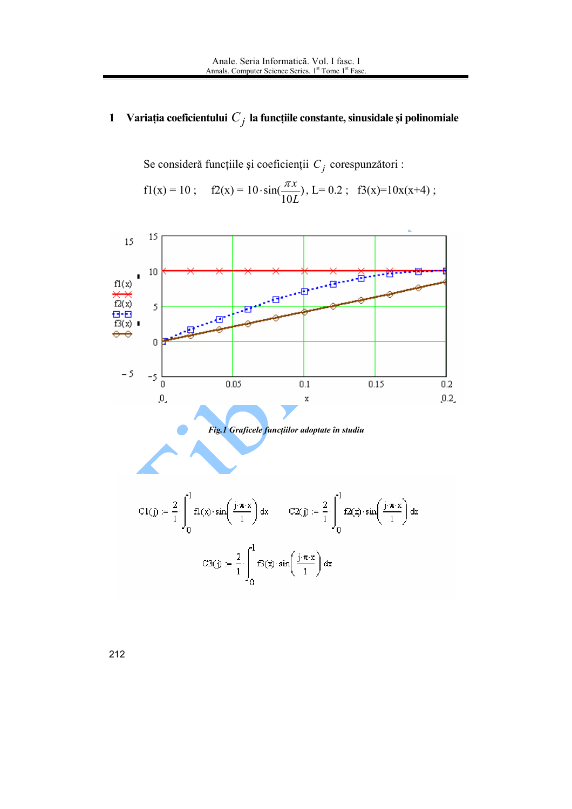#### Variația coeficientului $\,C_{\,j}\,$ la funcțiile constante, sinusidale și polinomiale  $\mathbf{1}$

Se consideră funcțiile și coeficienții  $C_j$  corespunzători :

$$
f1(x) = 10
$$
;  $f2(x) = 10 \cdot \sin(\frac{\pi x}{10L})$ ,  $L = 0.2$ ;  $f3(x)=10x(x+4)$ ;

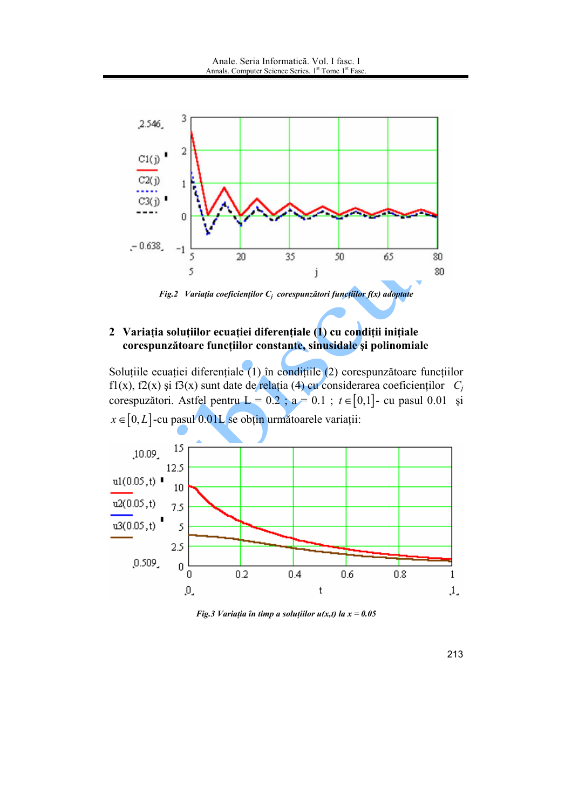

Fig.2 Variația coeficienților  $C_i$  corespunzători funcțiilor  $f(x)$  adoptate

# 2 Variația soluțiilor ecuației diferențiale (1) cu condiții inițiale corespunzătoare funcțiilor constante, sinusidale și polinomiale

Soluțiile ecuației diferențiale (1) în condițiile (2) corespunzătoare funcțiilor f1(x), f2(x) și f3(x) sunt date de relația (4) cu considerarea coeficienților  $C_i$ corespuzători. Astfel pentru L = 0.2 ; a = 0.1 ;  $t \in [0,1]$ - cu pasul 0.01 și  $x \in [0, L]$ -cu pasul 0.01L se obțin următoarele variații:



Fig.3 Variația în timp a soluțiilor  $u(x,t)$  la  $x = 0.05$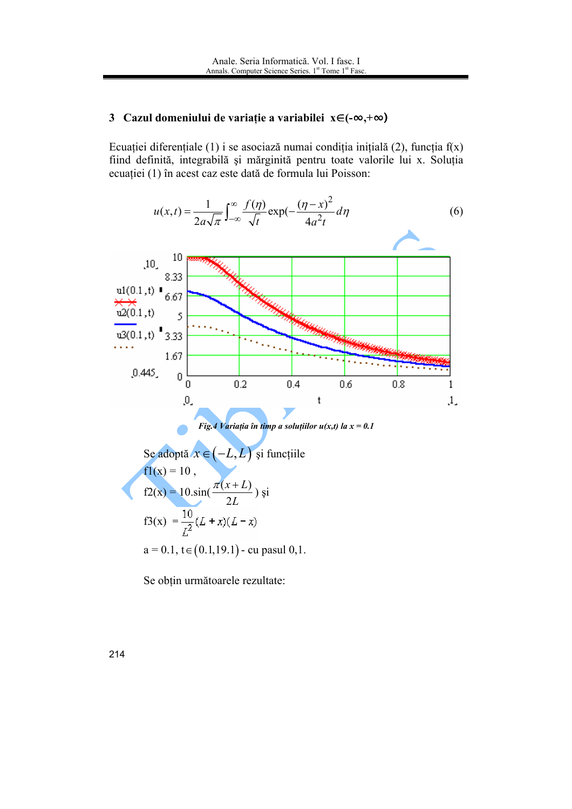# 3 Cazul domeniului de variație a variabilei  $x \in (-\infty, +\infty)$

Ecuației diferențiale (1) i se asociază numai condiția inițială (2), funcția  $f(x)$ fiind definită, integrabilă și mărginită pentru toate valorile lui x. Soluția ecuației (1) în acest caz este dată de formula lui Poisson:

$$
u(x,t) = \frac{1}{2a\sqrt{\pi}} \int_{-\infty}^{\infty} \frac{f(\eta)}{\sqrt{t}} \exp(-\frac{(\eta - x)^2}{4a^2 t} d\eta)
$$
 (6)



Fig.4 Variația în timp a soluțiilor  $u(x,t)$  la  $x = 0.1$ 

See adoptă 
$$
x \in (-L, L)
$$
 și funcțiile

\n $f1(x) = 10$ ,

\n $f2(x) = 10 \sin\left(\frac{\pi(x + L)}{2L}\right)$  și

\n $f3(x) = \frac{10}{L^2}(L + x)(L - x)$ 

\n $a = 0.1, t \in (0.1, 19.1)$ - cu pasul 0,1.

Se obțin următoarele rezultate: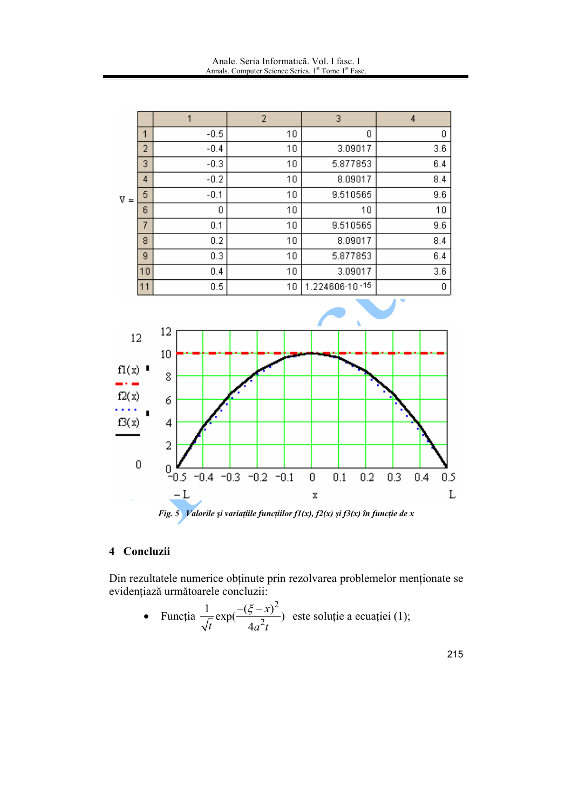|                        |    |        | 2  | 3              | 4   |
|------------------------|----|--------|----|----------------|-----|
| V<br>$\qquad \qquad =$ | 1  | $-0.5$ | 10 | 0              | 0   |
|                        | 2  | $-0.4$ | 10 | 3.09017        | 3.6 |
|                        | 3  | $-0.3$ | 10 | 5.877853       | 6.4 |
|                        | 4  | $-0.2$ | 10 | 8.09017        | 8.4 |
|                        | 5  | $-0.1$ | 10 | 9.510565       | 9.6 |
|                        | 6  | 0      | 10 | 10             | 10  |
|                        | 7  | 0.1    | 10 | 9.510565       | 9.6 |
|                        | 8  | 0.2    | 10 | 8.09017        | 8.4 |
|                        | 9  | 0.3    | 10 | 5.877853       | 6.4 |
|                        | 10 | 0.4    | 10 | 3.09017        | 3.6 |
|                        | 11 | 0.5    | 10 | 1.224606-10-15 | 0   |



#### 4 Concluzii

Din rezultatele numerice obținute prin rezolvarea problemelor menționate se evidențiază următoarele concluzii:

• Function 
$$
\frac{1}{\sqrt{t}} \exp(\frac{-(\xi - x)^2}{4a^2 t})
$$
 este soluție a ecuației (1);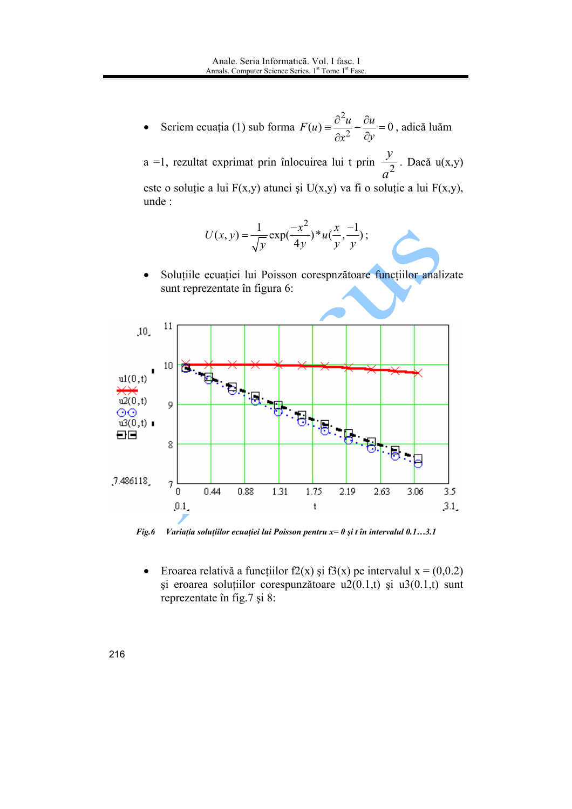Scriem ecuația (1) sub forma  $F(u) = \frac{\partial^2 u}{\partial x^2} - \frac{\partial u}{\partial y} = 0$ , adică luăm  $\bullet$ 

a =1, rezultat exprimat prin înlocuirea lui t prin  $\frac{y}{a^2}$ . Dacă u(x,y) este o soluție a lui  $F(x,y)$  atunci și  $U(x,y)$  va fi o soluție a lui  $F(x,y)$ , unde:

$$
U(x, y) = \frac{1}{\sqrt{y}} \exp(\frac{-x^2}{4y}) * u(\frac{x}{y}, \frac{-1}{y});
$$

Soluțiile ecuației lui Poisson corespnzătoare funcțiilor analizate  $\bullet$ sunt reprezentate în figura 6:



Variația soluțiilor ecuației lui Poisson pentru  $x=0$  și t în intervalul 0.1...3.1 Fig.6

Eroarea relativă a funcțiilor f2(x) și f3(x) pe intervalul  $x = (0,0.2)$  $\bullet$ si eroarea solutiilor corespunzătoare  $u2(0.1,t)$  și  $u3(0.1,t)$  sunt reprezentate în fig.7 și 8: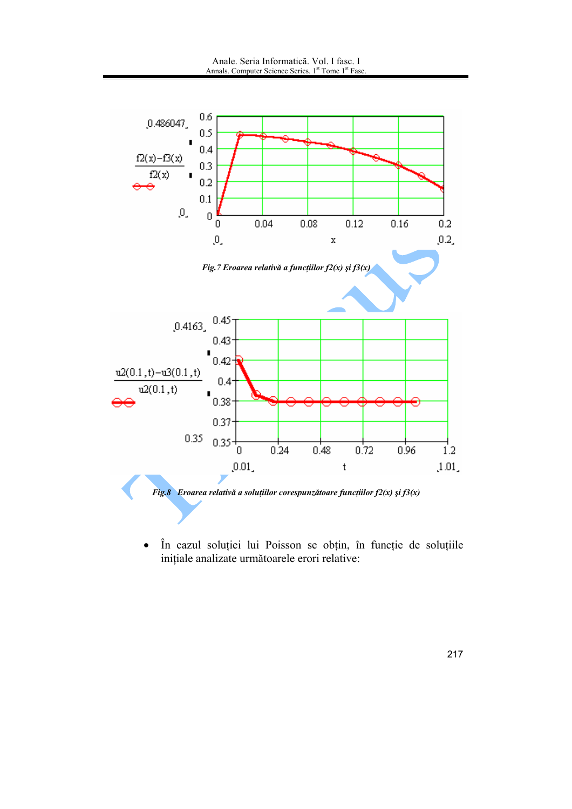

În cazul soluției lui Poisson se obțin, în funcție de soluțiile  $\bullet$ inițiale analizate următoarele erori relative: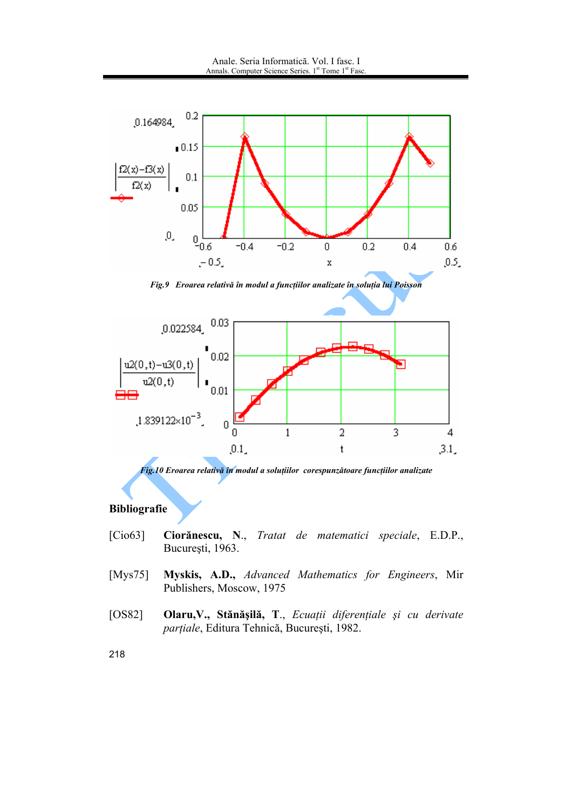

Fig.9 Eroarea relativă în modul a funcțiilor analizate în soluția lui Poisson



Fig.10 Eroarea relativă în modul a soluțiilor corespunzătoare funcțiilor analizate

### **Bibliografie**

- Ciorănescu, N., Tratat de matematici speciale, E.D.P.,  $[Cio63]$ București, 1963.
- Myskis, A.D., Advanced Mathematics for Engineers, Mir [ $Mys75$ ] Publishers, Moscow, 1975
- Olaru, V., Stănășilă, T., Ecuații diferențiale și cu derivate  $[OS82]$ parțiale, Editura Tehnică, București, 1982.